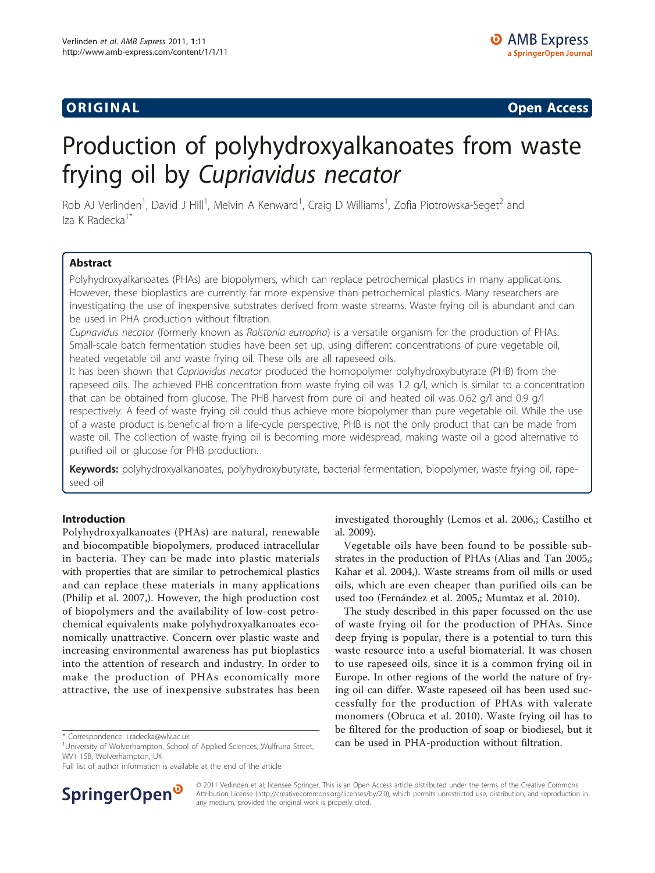**ORIGINAL CONSERVATION** CONSERVATION CONSERVATION CONSERVATION CONSERVATION CONSERVATION CONSERVATION CONSERVATION

# Production of polyhydroxyalkanoates from waste frying oil by Cupriavidus necator

Rob AJ Verlinden<sup>1</sup>, David J Hill<sup>1</sup>, Melvin A Kenward<sup>1</sup>, Craig D Williams<sup>1</sup>, Zofia Piotrowska-Seget<sup>2</sup> and Iza K Radecka<sup>1</sup>

# Abstract

Polyhydroxyalkanoates (PHAs) are biopolymers, which can replace petrochemical plastics in many applications. However, these bioplastics are currently far more expensive than petrochemical plastics. Many researchers are investigating the use of inexpensive substrates derived from waste streams. Waste frying oil is abundant and can be used in PHA production without filtration.

Cupriavidus necator (formerly known as Ralstonia eutropha) is a versatile organism for the production of PHAs. Small-scale batch fermentation studies have been set up, using different concentrations of pure vegetable oil, heated vegetable oil and waste frying oil. These oils are all rapeseed oils.

It has been shown that Cupriavidus necator produced the homopolymer polyhydroxybutyrate (PHB) from the rapeseed oils. The achieved PHB concentration from waste frying oil was 1.2 g/l, which is similar to a concentration that can be obtained from glucose. The PHB harvest from pure oil and heated oil was 0.62 g/l and 0.9 g/l respectively. A feed of waste frying oil could thus achieve more biopolymer than pure vegetable oil. While the use of a waste product is beneficial from a life-cycle perspective, PHB is not the only product that can be made from waste oil. The collection of waste frying oil is becoming more widespread, making waste oil a good alternative to purified oil or glucose for PHB production.

Keywords: polyhydroxyalkanoates, polyhydroxybutyrate, bacterial fermentation, biopolymer, waste frying oil, rapeseed oil

# Introduction

Polyhydroxyalkanoates (PHAs) are natural, renewable and biocompatible biopolymers, produced intracellular in bacteria. They can be made into plastic materials with properties that are similar to petrochemical plastics and can replace these materials in many applications ([Philip et al. 2007,](#page-7-0)). However, the high production cost of biopolymers and the availability of low-cost petrochemical equivalents make polyhydroxyalkanoates economically unattractive. Concern over plastic waste and increasing environmental awareness has put bioplastics into the attention of research and industry. In order to make the production of PHAs economically more attractive, the use of inexpensive substrates has been

Full list of author information is available at the end of the article



investigated thoroughly ([Lemos et al. 2006](#page-7-0),; [Castilho et](#page-6-0) [al. 2009\)](#page-6-0).

Vegetable oils have been found to be possible substrates in the production of PHAs ([Alias and Tan 2005](#page-6-0),; [Kahar et al. 2004,](#page-7-0)). Waste streams from oil mills or used oils, which are even cheaper than purified oils can be used too [\(Fernández et al. 2005](#page-6-0),; [Mumtaz et al. 2010\)](#page-7-0).

The study described in this paper focussed on the use of waste frying oil for the production of PHAs. Since deep frying is popular, there is a potential to turn this waste resource into a useful biomaterial. It was chosen to use rapeseed oils, since it is a common frying oil in Europe. In other regions of the world the nature of frying oil can differ. Waste rapeseed oil has been used successfully for the production of PHAs with valerate monomers ([Obruca et al. 2010\)](#page-7-0). Waste frying oil has to be filtered for the production of soap or biodiesel, but it \* Correspondence: [i.radecka@wlv.ac.uk](mailto:i.radecka@wlv.ac.uk)<br><sup>1</sup>University of Wolverhampton School of Applied Sciences Wulfruna Street **can be used in PHA-production without filtration.** 

> © 2011 Verlinden et al; licensee Springer. This is an Open Access article distributed under the terms of the Creative Commons Attribution License [\(http://creativecommons.org/licenses/by/2.0](http://creativecommons.org/licenses/by/2.0)), which permits unrestricted use, distribution, and reproduction in any medium, provided the original work is properly cited.

<sup>&</sup>lt;sup>1</sup>University of Wolverhampton, School of Applied Sciences, Wulfruna Street, WV1 1SB, Wolverhampton, UK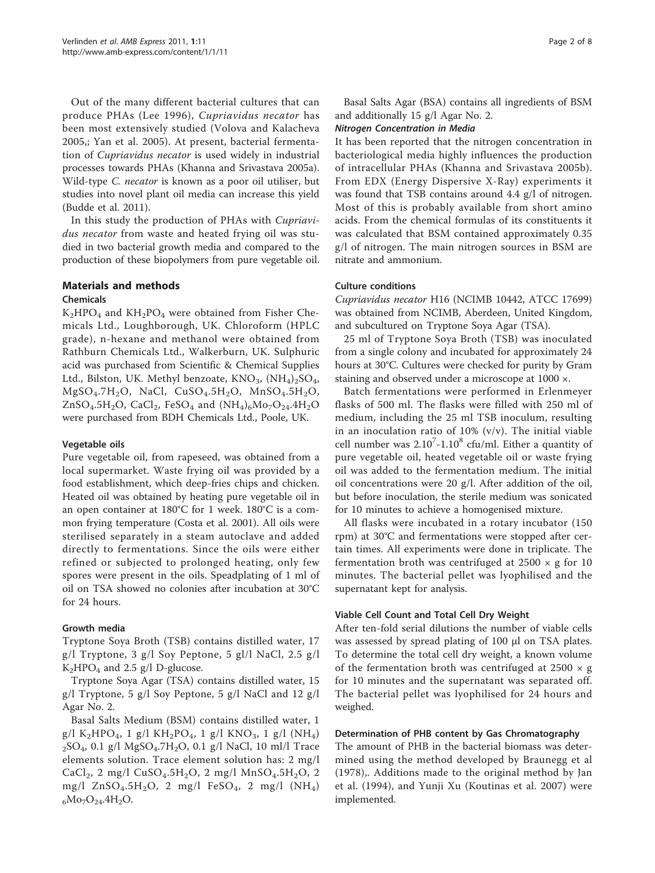Out of the many different bacterial cultures that can produce PHAs ([Lee 1996\)](#page-7-0), Cupriavidus necator has been most extensively studied ([Volova and Kalacheva](#page-7-0) [2005,](#page-7-0); [Yan et al. 2005\)](#page-7-0). At present, bacterial fermentation of Cupriavidus necator is used widely in industrial processes towards PHAs [\(Khanna and Srivastava 2005a](#page-7-0)). Wild-type C. necator is known as a poor oil utiliser, but studies into novel plant oil media can increase this yield ([Budde et al. 2011\)](#page-6-0).

In this study the production of PHAs with Cupriavidus necator from waste and heated frying oil was studied in two bacterial growth media and compared to the production of these biopolymers from pure vegetable oil.

#### Materials and methods Chemicals

 $K_2HPO_4$  and  $KH_2PO_4$  were obtained from Fisher Chemicals Ltd., Loughborough, UK. Chloroform (HPLC grade), n-hexane and methanol were obtained from Rathburn Chemicals Ltd., Walkerburn, UK. Sulphuric acid was purchased from Scientific & Chemical Supplies Ltd., Bilston, UK. Methyl benzoate,  $KNO<sub>3</sub>$ ,  $(NH<sub>4</sub>)<sub>2</sub>SO<sub>4</sub>$ ,  $MgSO_4.7H_2O$ , NaCl, CuSO<sub>4</sub>.5H<sub>2</sub>O, MnSO<sub>4</sub>.5H<sub>2</sub>O,  $ZnSO_4.5H_2O$ ,  $CaCl_2$ ,  $FeSO_4$  and  $(NH_4)_6Mo_7O_{24}.4H_2O$ were purchased from BDH Chemicals Ltd., Poole, UK.

## Vegetable oils

Pure vegetable oil, from rapeseed, was obtained from a local supermarket. Waste frying oil was provided by a food establishment, which deep-fries chips and chicken. Heated oil was obtained by heating pure vegetable oil in an open container at 180°C for 1 week. 180°C is a common frying temperature [\(Costa et al. 2001](#page-6-0)). All oils were sterilised separately in a steam autoclave and added directly to fermentations. Since the oils were either refined or subjected to prolonged heating, only few spores were present in the oils. Speadplating of 1 ml of oil on TSA showed no colonies after incubation at 30°C for 24 hours.

## Growth media

Tryptone Soya Broth (TSB) contains distilled water, 17 g/l Tryptone, 3 g/l Soy Peptone, 5 gl/l NaCl, 2.5 g/l  $K_2HPO_4$  and 2.5 g/l D-glucose.

Tryptone Soya Agar (TSA) contains distilled water, 15 g/l Tryptone, 5 g/l Soy Peptone, 5 g/l NaCl and 12 g/l Agar No. 2.

Basal Salts Medium (BSM) contains distilled water, 1  $g/l$  K<sub>2</sub>HPO<sub>4</sub>, 1 g/l KH<sub>2</sub>PO<sub>4</sub>, 1 g/l KNO<sub>3</sub>, 1 g/l (NH<sub>4</sub>)  $_{2}SO_{4}$ , 0.1 g/l MgSO<sub>4</sub>.7H<sub>2</sub>O, 0.1 g/l NaCl, 10 ml/l Trace elements solution. Trace element solution has: 2 mg/l  $CaCl<sub>2</sub>$ , 2 mg/l  $CuSO<sub>4</sub>$ .5H<sub>2</sub>O, 2 mg/l MnSO<sub>4</sub>.5H<sub>2</sub>O, 2 mg/l ZnSO4.5H2O, 2 mg/l FeSO4, 2 mg/l (NH4)  $_{6}Mo_{7}O_{24}.4H_{2}O.$ 

Basal Salts Agar (BSA) contains all ingredients of BSM and additionally 15 g/l Agar No. 2.

# Nitrogen Concentration in Media

It has been reported that the nitrogen concentration in bacteriological media highly influences the production of intracellular PHAs ([Khanna and Srivastava 2005b\)](#page-7-0). From EDX (Energy Dispersive X-Ray) experiments it was found that TSB contains around 4.4 g/l of nitrogen. Most of this is probably available from short amino acids. From the chemical formulas of its constituents it was calculated that BSM contained approximately 0.35 g/l of nitrogen. The main nitrogen sources in BSM are nitrate and ammonium.

## Culture conditions

Cupriavidus necator H16 (NCIMB 10442, ATCC 17699) was obtained from NCIMB, Aberdeen, United Kingdom, and subcultured on Tryptone Soya Agar (TSA).

25 ml of Tryptone Soya Broth (TSB) was inoculated from a single colony and incubated for approximately 24 hours at 30°C. Cultures were checked for purity by Gram staining and observed under a microscope at 1000 ×.

Batch fermentations were performed in Erlenmeyer flasks of 500 ml. The flasks were filled with 250 ml of medium, including the 25 ml TSB inoculum, resulting in an inoculation ratio of  $10\%$  (v/v). The initial viable cell number was  $2.10^7$ -1.10<sup>8</sup> cfu/ml. Either a quantity of pure vegetable oil, heated vegetable oil or waste frying oil was added to the fermentation medium. The initial oil concentrations were 20 g/l. After addition of the oil, but before inoculation, the sterile medium was sonicated for 10 minutes to achieve a homogenised mixture.

All flasks were incubated in a rotary incubator (150 rpm) at 30°C and fermentations were stopped after certain times. All experiments were done in triplicate. The fermentation broth was centrifuged at  $2500 \times g$  for 10 minutes. The bacterial pellet was lyophilised and the supernatant kept for analysis.

## Viable Cell Count and Total Cell Dry Weight

After ten-fold serial dilutions the number of viable cells was assessed by spread plating of 100 μl on TSA plates. To determine the total cell dry weight, a known volume of the fermentation broth was centrifuged at  $2500 \times g$ for 10 minutes and the supernatant was separated off. The bacterial pellet was lyophilised for 24 hours and weighed.

## Determination of PHB content by Gas Chromatography

The amount of PHB in the bacterial biomass was determined using the method developed by [Braunegg et al](#page-6-0) [\(1978\),](#page-6-0). Additions made to the original method by [Jan](#page-7-0) [et al. \(1994\)](#page-7-0), and Yunji Xu [\(Koutinas et al. 2007\)](#page-7-0) were implemented.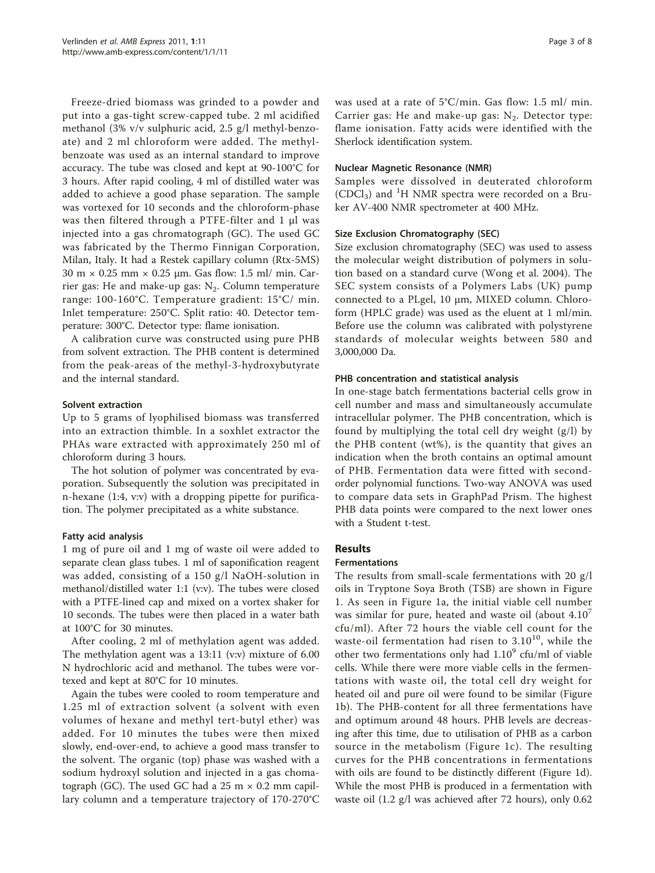Freeze-dried biomass was grinded to a powder and put into a gas-tight screw-capped tube. 2 ml acidified methanol (3% v/v sulphuric acid, 2.5 g/l methyl-benzoate) and 2 ml chloroform were added. The methylbenzoate was used as an internal standard to improve accuracy. The tube was closed and kept at 90-100°C for 3 hours. After rapid cooling, 4 ml of distilled water was added to achieve a good phase separation. The sample was vortexed for 10 seconds and the chloroform-phase was then filtered through a PTFE-filter and 1 μl was injected into a gas chromatograph (GC). The used GC was fabricated by the Thermo Finnigan Corporation, Milan, Italy. It had a Restek capillary column (Rtx-5MS) 30 m × 0.25 mm × 0.25 μm. Gas flow: 1.5 ml/ min. Carrier gas: He and make-up gas:  $N_2$ . Column temperature range: 100-160°C. Temperature gradient: 15°C/ min. Inlet temperature: 250°C. Split ratio: 40. Detector temperature: 300°C. Detector type: flame ionisation.

A calibration curve was constructed using pure PHB from solvent extraction. The PHB content is determined from the peak-areas of the methyl-3-hydroxybutyrate and the internal standard.

#### Solvent extraction

Up to 5 grams of lyophilised biomass was transferred into an extraction thimble. In a soxhlet extractor the PHAs ware extracted with approximately 250 ml of chloroform during 3 hours.

The hot solution of polymer was concentrated by evaporation. Subsequently the solution was precipitated in n-hexane (1:4, v:v) with a dropping pipette for purification. The polymer precipitated as a white substance.

## Fatty acid analysis

1 mg of pure oil and 1 mg of waste oil were added to separate clean glass tubes. 1 ml of saponification reagent was added, consisting of a 150 g/l NaOH-solution in methanol/distilled water 1:1 (v:v). The tubes were closed with a PTFE-lined cap and mixed on a vortex shaker for 10 seconds. The tubes were then placed in a water bath at 100°C for 30 minutes.

After cooling, 2 ml of methylation agent was added. The methylation agent was a 13:11 (v:v) mixture of 6.00 N hydrochloric acid and methanol. The tubes were vortexed and kept at 80°C for 10 minutes.

Again the tubes were cooled to room temperature and 1.25 ml of extraction solvent (a solvent with even volumes of hexane and methyl tert-butyl ether) was added. For 10 minutes the tubes were then mixed slowly, end-over-end, to achieve a good mass transfer to the solvent. The organic (top) phase was washed with a sodium hydroxyl solution and injected in a gas chomatograph (GC). The used GC had a  $25 \text{ m} \times 0.2 \text{ mm}$  capillary column and a temperature trajectory of 170-270°C was used at a rate of 5°C/min. Gas flow: 1.5 ml/ min. Carrier gas: He and make-up gas:  $N_2$ . Detector type: flame ionisation. Fatty acids were identified with the Sherlock identification system.

#### Nuclear Magnetic Resonance (NMR)

Samples were dissolved in deuterated chloroform  $(CDCI<sub>3</sub>)$  and <sup>1</sup>H NMR spectra were recorded on a Bruker AV-400 NMR spectrometer at 400 MHz.

## Size Exclusion Chromatography (SEC)

Size exclusion chromatography (SEC) was used to assess the molecular weight distribution of polymers in solution based on a standard curve [\(Wong et al. 2004](#page-7-0)). The SEC system consists of a Polymers Labs (UK) pump connected to a PLgel, 10 μm, MIXED column. Chloroform (HPLC grade) was used as the eluent at 1 ml/min. Before use the column was calibrated with polystyrene standards of molecular weights between 580 and 3,000,000 Da.

#### PHB concentration and statistical analysis

In one-stage batch fermentations bacterial cells grow in cell number and mass and simultaneously accumulate intracellular polymer. The PHB concentration, which is found by multiplying the total cell dry weight (g/l) by the PHB content (wt%), is the quantity that gives an indication when the broth contains an optimal amount of PHB. Fermentation data were fitted with secondorder polynomial functions. Two-way ANOVA was used to compare data sets in GraphPad Prism. The highest PHB data points were compared to the next lower ones with a Student t-test.

## Results

#### Fermentations

The results from small-scale fermentations with 20 g/l oils in Tryptone Soya Broth (TSB) are shown in Figure [1.](#page-3-0) As seen in Figure [1a](#page-3-0), the initial viable cell number was similar for pure, heated and waste oil (about  $4.10<sup>7</sup>$ cfu/ml). After 72 hours the viable cell count for the waste-oil fermentation had risen to  $3.10^{10}$ , while the other two fermentations only had  $1.10<sup>9</sup>$  cfu/ml of viable cells. While there were more viable cells in the fermentations with waste oil, the total cell dry weight for heated oil and pure oil were found to be similar (Figure [1b](#page-3-0)). The PHB-content for all three fermentations have and optimum around 48 hours. PHB levels are decreasing after this time, due to utilisation of PHB as a carbon source in the metabolism (Figure [1c\)](#page-3-0). The resulting curves for the PHB concentrations in fermentations with oils are found to be distinctly different (Figure [1d](#page-3-0)). While the most PHB is produced in a fermentation with waste oil (1.2 g/l was achieved after 72 hours), only 0.62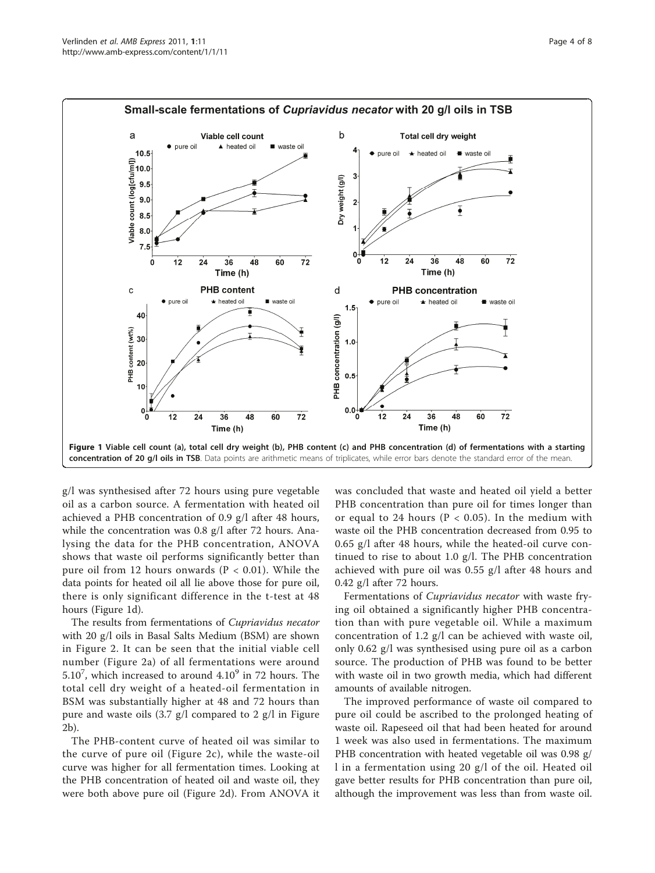<span id="page-3-0"></span>

g/l was synthesised after 72 hours using pure vegetable oil as a carbon source. A fermentation with heated oil achieved a PHB concentration of 0.9 g/l after 48 hours, while the concentration was 0.8 g/l after 72 hours. Analysing the data for the PHB concentration, ANOVA shows that waste oil performs significantly better than pure oil from 12 hours onwards ( $P < 0.01$ ). While the data points for heated oil all lie above those for pure oil, there is only significant difference in the t-test at 48 hours (Figure 1d).

The results from fermentations of Cupriavidus necator with 20 g/l oils in Basal Salts Medium (BSM) are shown in Figure [2.](#page-4-0) It can be seen that the initial viable cell number (Figure [2a\)](#page-4-0) of all fermentations were around  $5.10^7$ , which increased to around  $4.10^9$  in 72 hours. The total cell dry weight of a heated-oil fermentation in BSM was substantially higher at 48 and 72 hours than pure and waste oils (3.7 g/l compared to 2 g/l in Figure [2b\)](#page-4-0).

The PHB-content curve of heated oil was similar to the curve of pure oil (Figure [2c](#page-4-0)), while the waste-oil curve was higher for all fermentation times. Looking at the PHB concentration of heated oil and waste oil, they were both above pure oil (Figure [2d](#page-4-0)). From ANOVA it

was concluded that waste and heated oil yield a better PHB concentration than pure oil for times longer than or equal to 24 hours ( $P < 0.05$ ). In the medium with waste oil the PHB concentration decreased from 0.95 to 0.65 g/l after 48 hours, while the heated-oil curve continued to rise to about 1.0 g/l. The PHB concentration achieved with pure oil was 0.55 g/l after 48 hours and 0.42 g/l after 72 hours.

Fermentations of Cupriavidus necator with waste frying oil obtained a significantly higher PHB concentration than with pure vegetable oil. While a maximum concentration of 1.2 g/l can be achieved with waste oil, only 0.62 g/l was synthesised using pure oil as a carbon source. The production of PHB was found to be better with waste oil in two growth media, which had different amounts of available nitrogen.

The improved performance of waste oil compared to pure oil could be ascribed to the prolonged heating of waste oil. Rapeseed oil that had been heated for around 1 week was also used in fermentations. The maximum PHB concentration with heated vegetable oil was 0.98 g/ l in a fermentation using 20 g/l of the oil. Heated oil gave better results for PHB concentration than pure oil, although the improvement was less than from waste oil.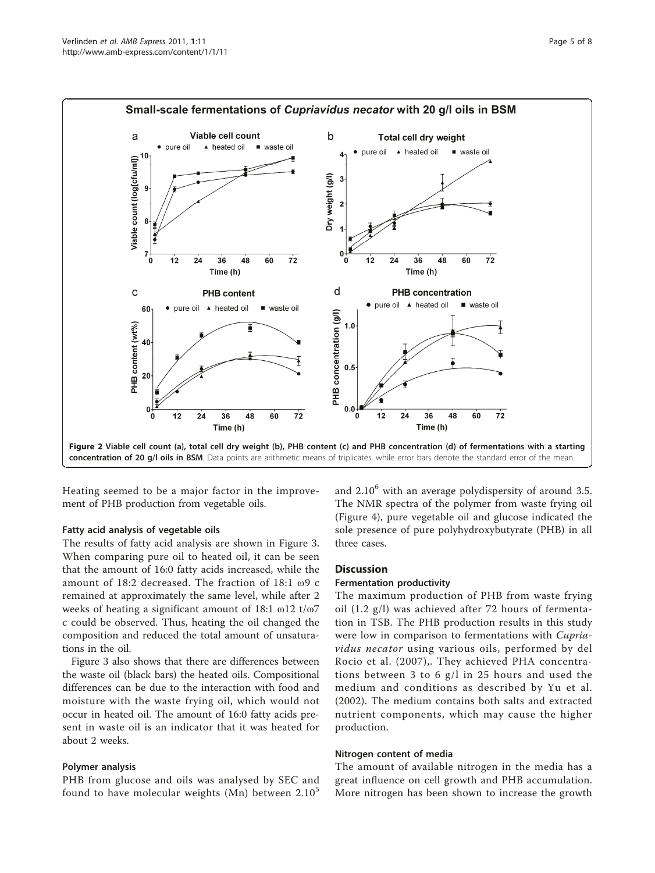Page 5 of 8

<span id="page-4-0"></span>

Heating seemed to be a major factor in the improvement of PHB production from vegetable oils.

#### Fatty acid analysis of vegetable oils

The results of fatty acid analysis are shown in Figure [3](#page-5-0). When comparing pure oil to heated oil, it can be seen that the amount of 16:0 fatty acids increased, while the amount of 18:2 decreased. The fraction of 18:1 ω9 c remained at approximately the same level, while after 2 weeks of heating a significant amount of 18:1 ω12 t/ω7 c could be observed. Thus, heating the oil changed the composition and reduced the total amount of unsaturations in the oil.

Figure [3](#page-5-0) also shows that there are differences between the waste oil (black bars) the heated oils. Compositional differences can be due to the interaction with food and moisture with the waste frying oil, which would not occur in heated oil. The amount of 16:0 fatty acids present in waste oil is an indicator that it was heated for about 2 weeks.

#### Polymer analysis

PHB from glucose and oils was analysed by SEC and found to have molecular weights (Mn) between  $2.10<sup>5</sup>$  and 2.10<sup>6</sup> with an average polydispersity of around 3.5. The NMR spectra of the polymer from waste frying oil (Figure [4\)](#page-5-0), pure vegetable oil and glucose indicated the sole presence of pure polyhydroxybutyrate (PHB) in all three cases.

#### **Discussion**

## Fermentation productivity

The maximum production of PHB from waste frying oil (1.2 g/l) was achieved after 72 hours of fermentation in TSB. The PHB production results in this study were low in comparison to fermentations with Cupriavidus necator using various oils, performed by [del](#page-7-0) [Rocio et al. \(2007\),](#page-7-0). They achieved PHA concentrations between 3 to 6 g/l in 25 hours and used the medium and conditions as described by [Yu et al.](#page-7-0) [\(2002\).](#page-7-0) The medium contains both salts and extracted nutrient components, which may cause the higher production.

## Nitrogen content of media

The amount of available nitrogen in the media has a great influence on cell growth and PHB accumulation. More nitrogen has been shown to increase the growth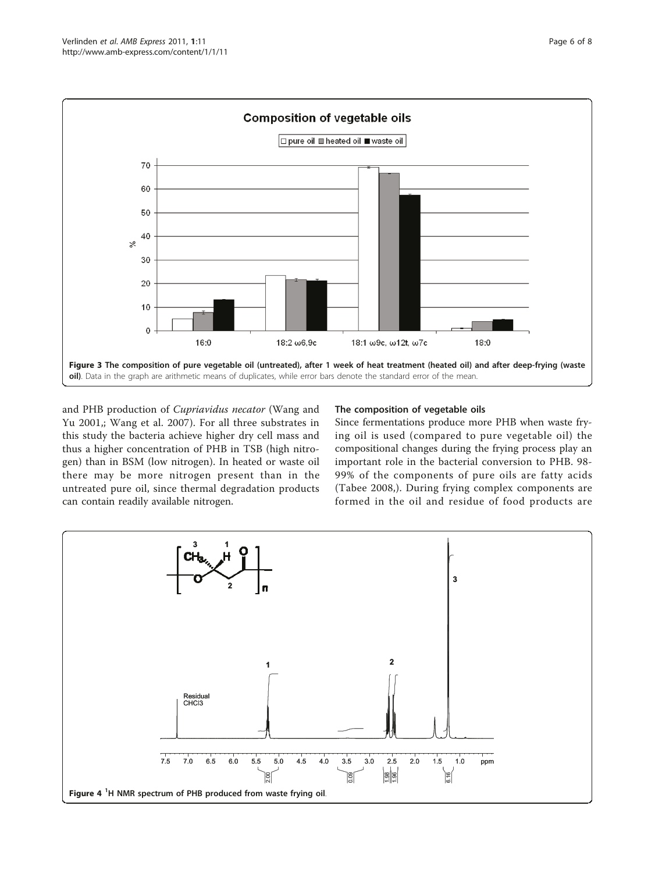<span id="page-5-0"></span>

and PHB production of Cupriavidus necator ([Wang and](#page-7-0) [Yu 2001,](#page-7-0); [Wang et al. 2007](#page-7-0)). For all three substrates in this study the bacteria achieve higher dry cell mass and thus a higher concentration of PHB in TSB (high nitrogen) than in BSM (low nitrogen). In heated or waste oil there may be more nitrogen present than in the untreated pure oil, since thermal degradation products can contain readily available nitrogen.

# The composition of vegetable oils

Since fermentations produce more PHB when waste frying oil is used (compared to pure vegetable oil) the compositional changes during the frying process play an important role in the bacterial conversion to PHB. 98- 99% of the components of pure oils are fatty acids ([Tabee 2008,](#page-7-0)). During frying complex components are formed in the oil and residue of food products are

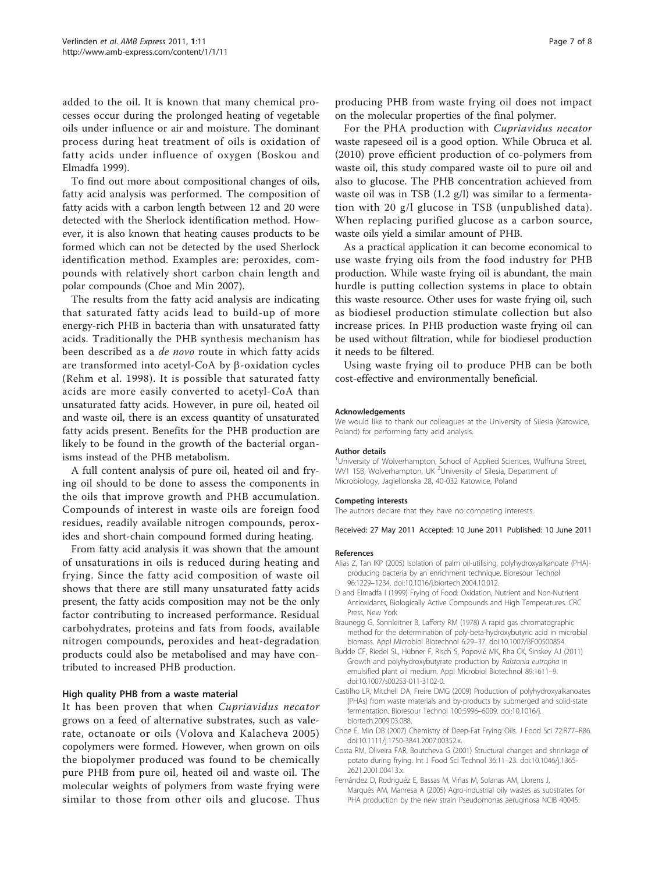<span id="page-6-0"></span>added to the oil. It is known that many chemical processes occur during the prolonged heating of vegetable oils under influence or air and moisture. The dominant process during heat treatment of oils is oxidation of fatty acids under influence of oxygen (Boskou and Elmadfa 1999).

To find out more about compositional changes of oils, fatty acid analysis was performed. The composition of fatty acids with a carbon length between 12 and 20 were detected with the Sherlock identification method. However, it is also known that heating causes products to be formed which can not be detected by the used Sherlock identification method. Examples are: peroxides, compounds with relatively short carbon chain length and polar compounds (Choe and Min 2007).

The results from the fatty acid analysis are indicating that saturated fatty acids lead to build-up of more energy-rich PHB in bacteria than with unsaturated fatty acids. Traditionally the PHB synthesis mechanism has been described as a de novo route in which fatty acids are transformed into acetyl-CoA by  $\beta$ -oxidation cycles ([Rehm et al. 1998\)](#page-7-0). It is possible that saturated fatty acids are more easily converted to acetyl-CoA than unsaturated fatty acids. However, in pure oil, heated oil and waste oil, there is an excess quantity of unsaturated fatty acids present. Benefits for the PHB production are likely to be found in the growth of the bacterial organisms instead of the PHB metabolism.

A full content analysis of pure oil, heated oil and frying oil should to be done to assess the components in the oils that improve growth and PHB accumulation. Compounds of interest in waste oils are foreign food residues, readily available nitrogen compounds, peroxides and short-chain compound formed during heating.

From fatty acid analysis it was shown that the amount of unsaturations in oils is reduced during heating and frying. Since the fatty acid composition of waste oil shows that there are still many unsaturated fatty acids present, the fatty acids composition may not be the only factor contributing to increased performance. Residual carbohydrates, proteins and fats from foods, available nitrogen compounds, peroxides and heat-degradation products could also be metabolised and may have contributed to increased PHB production.

#### High quality PHB from a waste material

It has been proven that when Cupriavidus necator grows on a feed of alternative substrates, such as valerate, octanoate or oils [\(Volova and Kalacheva 2005](#page-7-0)) copolymers were formed. However, when grown on oils the biopolymer produced was found to be chemically pure PHB from pure oil, heated oil and waste oil. The molecular weights of polymers from waste frying were similar to those from other oils and glucose. Thus

producing PHB from waste frying oil does not impact on the molecular properties of the final polymer.

For the PHA production with Cupriavidus necator waste rapeseed oil is a good option. While [Obruca et al.](#page-7-0) [\(2010\)](#page-7-0) prove efficient production of co-polymers from waste oil, this study compared waste oil to pure oil and also to glucose. The PHB concentration achieved from waste oil was in TSB (1.2 g/l) was similar to a fermentation with 20 g/l glucose in TSB (unpublished data). When replacing purified glucose as a carbon source, waste oils yield a similar amount of PHB.

As a practical application it can become economical to use waste frying oils from the food industry for PHB production. While waste frying oil is abundant, the main hurdle is putting collection systems in place to obtain this waste resource. Other uses for waste frying oil, such as biodiesel production stimulate collection but also increase prices. In PHB production waste frying oil can be used without filtration, while for biodiesel production it needs to be filtered.

Using waste frying oil to produce PHB can be both cost-effective and environmentally beneficial.

#### Acknowledgements

We would like to thank our colleagues at the University of Silesia (Katowice, Poland) for performing fatty acid analysis.

#### Author details

<sup>1</sup>University of Wolverhampton, School of Applied Sciences, Wulfruna Street, WV1 1SB, Wolverhampton, UK<sup>2</sup>University of Silesia, Department of Microbiology, Jagiellonska 28, 40-032 Katowice, Poland

#### Competing interests

The authors declare that they have no competing interests.

Received: 27 May 2011 Accepted: 10 June 2011 Published: 10 June 2011

#### References

- Alias Z, Tan IKP (2005) [Isolation of palm oil-utilising, polyhydroxyalkanoate \(PHA\)](http://www.ncbi.nlm.nih.gov/pubmed/15734309?dopt=Abstract) [producing bacteria by an enrichment technique.](http://www.ncbi.nlm.nih.gov/pubmed/15734309?dopt=Abstract) Bioresour Technol 96:1229–1234. doi:10.1016/j.biortech.2004.10.012.
- D and Elmadfa I (1999) Frying of Food: Oxidation, Nutrient and Non-Nutrient Antioxidants, Biologically Active Compounds and High Temperatures. CRC Press, New York
- Braunegg G, Sonnleitner B, Lafferty RM (1978) A rapid gas chromatographic method for the determination of poly-beta-hydroxybutyric acid in microbial biomass. Appl Microbiol Biotechnol 6:29–37. doi:10.1007/BF00500854.
- Budde CF, Riedel SL, Hübner F, Risch S, Popović MK, Rha CK, Sinskey AJ (2011) [Growth and polyhydroxybutyrate production by](http://www.ncbi.nlm.nih.gov/pubmed/21279345?dopt=Abstract) Ralstonia eutropha in [emulsified plant oil medium.](http://www.ncbi.nlm.nih.gov/pubmed/21279345?dopt=Abstract) Appl Microbiol Biotechnol 89:1611–9. doi:10.1007/s00253-011-3102-0.
- Castilho LR, Mitchell DA, Freire DMG (2009) [Production of polyhydroxyalkanoates](http://www.ncbi.nlm.nih.gov/pubmed/19581084?dopt=Abstract) [\(PHAs\) from waste materials and by-products by submerged and solid-state](http://www.ncbi.nlm.nih.gov/pubmed/19581084?dopt=Abstract) [fermentation.](http://www.ncbi.nlm.nih.gov/pubmed/19581084?dopt=Abstract) Bioresour Technol 100:5996–6009. doi:10.1016/j. biortech.2009.03.088.
- Choe E, Min DB (2007) [Chemistry of Deep-Fat Frying Oils.](http://www.ncbi.nlm.nih.gov/pubmed/17995742?dopt=Abstract) J Food Sci 72:R77–R86. doi:10.1111/j.1750-3841.2007.00352.x.
- Costa RM, Oliveira FAR, Boutcheva G (2001) Structural changes and shrinkage of potato during frying. Int J Food Sci Technol 36:11–23. doi:10.1046/j.1365- 2621.2001.00413.x.
- Fernández D, Rodriguéz E, Bassas M, Viñas M, Solanas AM, Llorens J, Marqués AM, Manresa A (2005) Agro-industrial oily wastes as substrates for PHA production by the new strain Pseudomonas aeruginosa NCIB 40045: